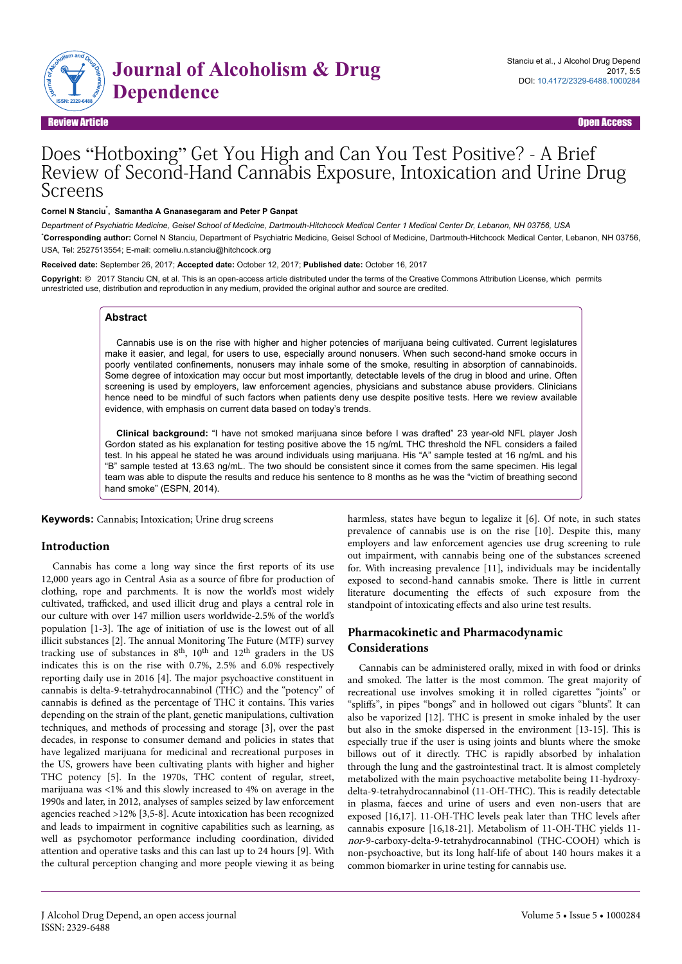

Review Article Communication of the contract of the contract of the contract of the contract of the contract of the contract of the contract of the contract of the contract of the contract of the contract of the contract o

# Does "Hotboxing" Get You High and Can You Test Positive? - A Brief Review of Second-Hand Cannabis Exposure, Intoxication and Urine Drug Screens

#### Cornel N Stanciu<sup>\*</sup>, Samantha A Gnanasegaram and Peter P Ganpat

*Department of Psychiatric Medicine, Geisel School of Medicine, Dartmouth-Hitchcock Medical Center 1 Medical Center Dr, Lebanon, NH 03756, USA* \***Corresponding author:** Cornel N Stanciu, Department of Psychiatric Medicine, Geisel School of Medicine, Dartmouth-Hitchcock Medical Center, Lebanon, NH 03756, USA, Tel: 2527513554; E-mail: corneliu.n.stanciu@hitchcock.org

**Received date:** September 26, 2017; **Accepted date:** October 12, 2017; **Published date:** October 16, 2017

**Copyright:** © 2017 Stanciu CN, et al. This is an open-access article distributed under the terms of the Creative Commons Attribution License, which permits unrestricted use, distribution and reproduction in any medium, provided the original author and source are credited.

## **Abstract**

Cannabis use is on the rise with higher and higher potencies of marijuana being cultivated. Current legislatures make it easier, and legal, for users to use, especially around nonusers. When such second-hand smoke occurs in poorly ventilated confinements, nonusers may inhale some of the smoke, resulting in absorption of cannabinoids. Some degree of intoxication may occur but most importantly, detectable levels of the drug in blood and urine. Often screening is used by employers, law enforcement agencies, physicians and substance abuse providers. Clinicians hence need to be mindful of such factors when patients deny use despite positive tests. Here we review available evidence, with emphasis on current data based on today's trends.

**Clinical background:** "I have not smoked marijuana since before I was drafted" 23 year-old NFL player Josh Gordon stated as his explanation for testing positive above the 15 ng/mL THC threshold the NFL considers a failed test. In his appeal he stated he was around individuals using marijuana. His "A" sample tested at 16 ng/mL and his "B" sample tested at 13.63 ng/mL. The two should be consistent since it comes from the same specimen. His legal team was able to dispute the results and reduce his sentence to 8 months as he was the "victim of breathing second hand smoke" (ESPN, 2014).

**Keywords:** Cannabis; Intoxication; Urine drug screens

#### **Introduction**

Cannabis has come a long way since the first reports of its use 12,000 years ago in Central Asia as a source of fibre for production of clothing, rope and parchments. It is now the world's most widely cultivated, trafficked, and used illicit drug and plays a central role in our culture with over 147 million users worldwide-2.5% of the world's population [1-3]. Нe age of initiation of use is the lowest out of all illicit substances [2]. Нe annual Monitoring Нe Future (MTF) survey tracking use of substances in  $8<sup>th</sup>$ ,  $10<sup>th</sup>$  and  $12<sup>th</sup>$  graders in the US indicates this is on the rise with 0.7%, 2.5% and 6.0% respectively reporting daily use in 2016 [4]. Нe major psychoactive constituent in cannabis is delta-9-tetrahydrocannabinol (THC) and the "potency" of cannabis is defined as the percentage of THC it contains. Нis varies depending on the strain of the plant, genetic manipulations, cultivation techniques, and methods of processing and storage [3], over the past decades, in response to consumer demand and policies in states that have legalized marijuana for medicinal and recreational purposes in the US, growers have been cultivating plants with higher and higher THC potency [5]. In the 1970s, THC content of regular, street, marijuana was <1% and this slowly increased to 4% on average in the 1990s and later, in 2012, analyses of samples seized by law enforcement agencies reached >12% [3,5-8]. Acute intoxication has been recognized and leads to impairment in cognitive capabilities such as learning, as well as psychomotor performance including coordination, divided attention and operative tasks and this can last up to 24 hours [9]. With the cultural perception changing and more people viewing it as being

harmless, states have begun to legalize it [6]. Of note, in such states prevalence of cannabis use is on the rise [10]. Despite this, many employers and law enforcement agencies use drug screening to rule out impairment, with cannabis being one of the substances screened for. With increasing prevalence [11], individuals may be incidentally exposed to second-hand cannabis smoke. Нere is little in current literature documenting the effects of such exposure from the standpoint of intoxicating effects and also urine test results.

# **Pharmacokinetic and Pharmacodynamic Considerations**

Cannabis can be administered orally, mixed in with food or drinks and smoked. Нe latter is the most common. Нe great majority of recreational use involves smoking it in rolled cigarettes "joints" or "spliffs", in pipes "bongs" and in hollowed out cigars "blunts". It can also be vaporized [12]. THC is present in smoke inhaled by the user but also in the smoke dispersed in the environment [13-15]. Нis is especially true if the user is using joints and blunts where the smoke billows out of it directly. THC is rapidly absorbed by inhalation through the lung and the gastrointestinal tract. It is almost completely metabolized with the main psychoactive metabolite being 11-hydroxydelta-9-tetrahydrocannabinol (11-OH-THC). Нis is readily detectable in plasma, faeces and urine of users and even non-users that are exposed [16,17]. 11-OH-THC levels peak later than THC levels after cannabis exposure [16,18-21]. Metabolism of 11-OH-THC yields 11 nor-9-carboxy-delta-9-tetrahydrocannabinol (THC-COOH) which is non-psychoactive, but its long half-life of about 140 hours makes it a common biomarker in urine testing for cannabis use.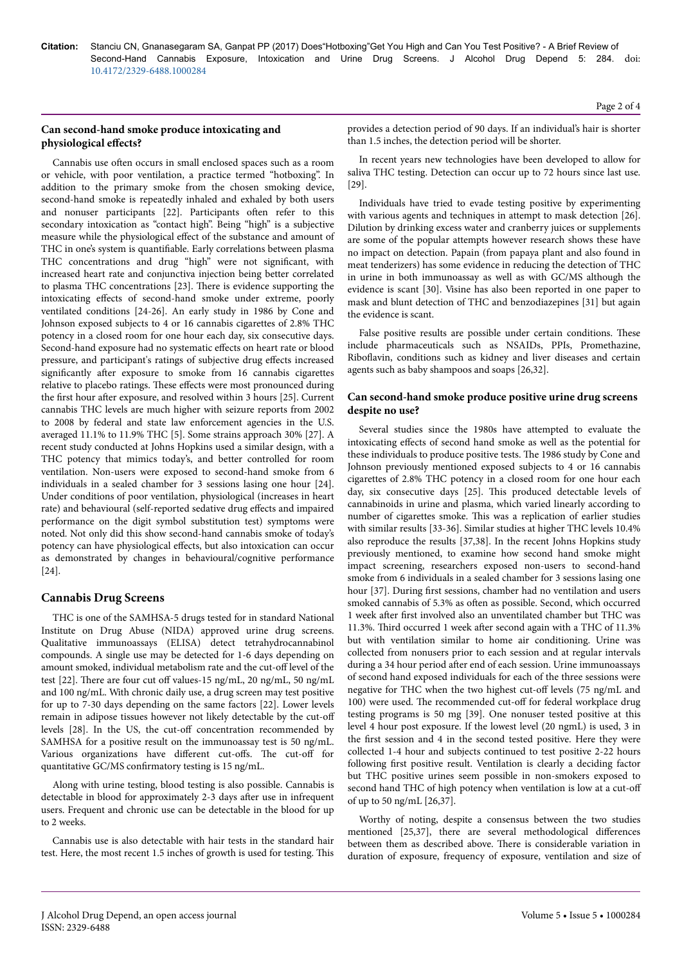# **Can second-hand smoke produce intoxicating and physiological effects?**

Cannabis use often occurs in small enclosed spaces such as a room or vehicle, with poor ventilation, a practice termed "hotboxing". In addition to the primary smoke from the chosen smoking device, second-hand smoke is repeatedly inhaled and exhaled by both users and nonuser participants [22]. Participants often refer to this secondary intoxication as "contact high". Being "high" is a subjective measure while the physiological effect of the substance and amount of THC in one's system is quantifiable. Early correlations between plasma THC concentrations and drug "high" were not significant, with increased heart rate and conjunctiva injection being better correlated to plasma THC concentrations [23]. Нere is evidence supporting the intoxicating effects of second-hand smoke under extreme, poorly ventilated conditions [24-26]. An early study in 1986 by Cone and Johnson exposed subjects to 4 or 16 cannabis cigarettes of 2.8% THC potency in a closed room for one hour each day, six consecutive days. Second-hand exposure had no systematic effects on heart rate or blood pressure, and participant's ratings of subjective drug effects increased significantly after exposure to smoke from 16 cannabis cigarettes relative to placebo ratings. These effects were most pronounced during the first hour after exposure, and resolved within 3 hours [25]. Current cannabis THC levels are much higher with seizure reports from 2002 to 2008 by federal and state law enforcement agencies in the U.S. averaged 11.1% to 11.9% THC [5]. Some strains approach 30% [27]. A recent study conducted at Johns Hopkins used a similar design, with a THC potency that mimics today's, and better controlled for room ventilation. Non-users were exposed to second-hand smoke from 6 individuals in a sealed chamber for 3 sessions lasing one hour [24]. Under conditions of poor ventilation, physiological (increases in heart rate) and behavioural (self-reported sedative drug effects and impaired performance on the digit symbol substitution test) symptoms were noted. Not only did this show second-hand cannabis smoke of today's potency can have physiological effects, but also intoxication can occur as demonstrated by changes in behavioural/cognitive performance [24].

# **Cannabis Drug Screens**

THC is one of the SAMHSA-5 drugs tested for in standard National Institute on Drug Abuse (NIDA) approved urine drug screens. Qualitative immunoassays (ELISA) detect tetrahydrocannabinol compounds. A single use may be detected for 1-6 days depending on amount smoked, individual metabolism rate and the cut-off level of the test [22]. There are four cut off values-15 ng/mL, 20 ng/mL, 50 ng/mL and 100 ng/mL. With chronic daily use, a drug screen may test positive for up to 7-30 days depending on the same factors [22]. Lower levels remain in adipose tissues however not likely detectable by the cut-off levels [28]. In the US, the cut-off concentration recommended by SAMHSA for a positive result on the immunoassay test is 50 ng/mL. Various organizations have different cut-offs. The cut-off for quantitative GC/MS confirmatory testing is 15 ng/mL.

Along with urine testing, blood testing is also possible. Cannabis is detectable in blood for approximately 2-3 days after use in infrequent users. Frequent and chronic use can be detectable in the blood for up to 2 weeks.

Cannabis use is also detectable with hair tests in the standard hair test. Here, the most recent 1.5 inches of growth is used for testing. Нis provides a detection period of 90 days. If an individual's hair is shorter than 1.5 inches, the detection period will be shorter.

In recent years new technologies have been developed to allow for saliva THC testing. Detection can occur up to 72 hours since last use. [29].

Individuals have tried to evade testing positive by experimenting with various agents and techniques in attempt to mask detection [26]. Dilution by drinking excess water and cranberry juices or supplements are some of the popular attempts however research shows these have no impact on detection. Papain (from papaya plant and also found in meat tenderizers) has some evidence in reducing the detection of THC in urine in both immunoassay as well as with GC/MS although the evidence is scant [30]. Visine has also been reported in one paper to mask and blunt detection of THC and benzodiazepines [31] but again the evidence is scant.

False positive results are possible under certain conditions. Нese include pharmaceuticals such as NSAIDs, PPIs, Promethazine, Riboflavin, conditions such as kidney and liver diseases and certain agents such as baby shampoos and soaps [26,32].

# **Can second-hand smoke produce positive urine drug screens despite no use?**

Several studies since the 1980s have attempted to evaluate the intoxicating effects of second hand smoke as well as the potential for these individuals to produce positive tests. Нe 1986 study by Cone and Johnson previously mentioned exposed subjects to 4 or 16 cannabis cigarettes of 2.8% THC potency in a closed room for one hour each day, six consecutive days [25]. Нis produced detectable levels of cannabinoids in urine and plasma, which varied linearly according to number of cigarettes smoke. Нis was a replication of earlier studies with similar results [33-36]. Similar studies at higher THC levels 10.4% also reproduce the results [37,38]. In the recent Johns Hopkins study previously mentioned, to examine how second hand smoke might impact screening, researchers exposed non-users to second-hand smoke from 6 individuals in a sealed chamber for 3 sessions lasing one hour [37]. During first sessions, chamber had no ventilation and users smoked cannabis of 5.3% as often as possible. Second, which occurred 1 week after first involved also an unventilated chamber but THC was 11.3%. Third occurred 1 week after second again with a THC of 11.3% but with ventilation similar to home air conditioning. Urine was collected from nonusers prior to each session and at regular intervals during a 34 hour period after end of each session. Urine immunoassays of second hand exposed individuals for each of the three sessions were negative for THC when the two highest cut-off levels (75 ng/mL and 100) were used. The recommended cut-off for federal workplace drug testing programs is 50 mg [39]. One nonuser tested positive at this level 4 hour post exposure. If the lowest level (20 ngmL) is used, 3 in the first session and 4 in the second tested positive. Here they were collected 1-4 hour and subjects continued to test positive 2-22 hours following first positive result. Ventilation is clearly a deciding factor but THC positive urines seem possible in non-smokers exposed to second hand THC of high potency when ventilation is low at a cut-off of up to 50 ng/mL [26,37].

Worthy of noting, despite a consensus between the two studies mentioned [25,37], there are several methodological differences between them as described above. Нere is considerable variation in duration of exposure, frequency of exposure, ventilation and size of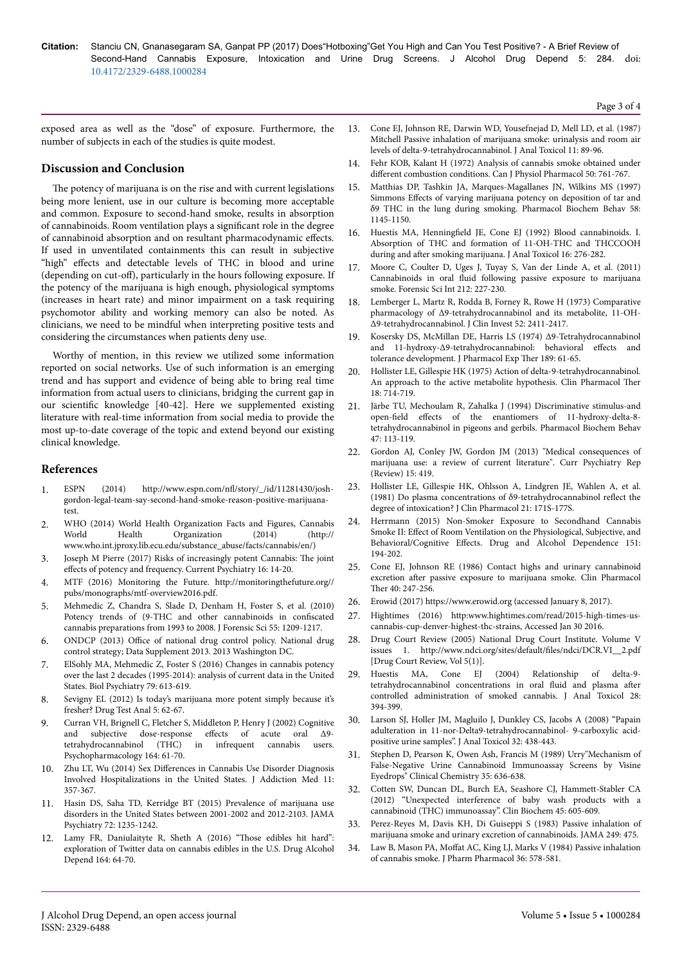**Citation:** Stanciu CN, Gnanasegaram SA, Ganpat PP (2017) Does"Hotboxing"Get You High and Can You Test Positive? - A Brief Review of Second-Hand Cannabis Exposure, Intoxication and Urine Drug Screens. J Alcohol Drug Depend 5: 284. doi: 10.4172/2329-6488.1000284

Page 3 of 4

exposed area as well as the "dose" of exposure. Furthermore, the number of subjects in each of the studies is quite modest.

## **Discussion and Conclusion**

The potency of marijuana is on the rise and with current legislations being more lenient, use in our culture is becoming more acceptable and common. Exposure to second-hand smoke, results in absorption of cannabinoids. Room ventilation plays a significant role in the degree of cannabinoid absorption and on resultant pharmacodynamic effects. If used in unventilated containments this can result in subjective "high" effects and detectable levels of THC in blood and urine (depending on cut-off), particularly in the hours following exposure. If the potency of the marijuana is high enough, physiological symptoms (increases in heart rate) and minor impairment on a task requiring psychomotor ability and working memory can also be noted. As clinicians, we need to be mindful when interpreting positive tests and considering the circumstances when patients deny use.

Worthy of mention, in this review we utilized some information reported on social networks. Use of such information is an emerging trend and has support and evidence of being able to bring real time information from actual users to clinicians, bridging the current gap in our scientific knowledge [40-42]. Here we supplemented existing literature with real-time information from social media to provide the most up-to-date coverage of the topic and extend beyond our existing clinical knowledge.

## **References**

- 1. ESPN (2014) http://www.espn.com/nfl/story/\_/id/11281430/joshgordon-legal-team-say-second-hand-smoke-reason-positive-marijuanatest.
- 2. WHO (2014) World Health Organization Facts and Figures, Cannabis<br>World Health Organization (2014) (http:// Organization (2014) (http:// www.who.int.jproxy.lib.ecu.edu/substance\_abuse/facts/cannabis/en/)
- 3. Joseph M Pierre (2017) Risks of increasingly potent Cannabis: Нe joint effects of potency and frequency. Current Psychiatry 16: 14-20.
- 4. MTF (2016) Monitoring the Future. http://monitoringthefuture.org// pubs/monographs/mtf-overview2016.pdf.
- 5. [Mehmedic Z, Chandra S, Slade D, Denham H, Foster S, et al. \(2010\)](https://doi.org/10.1111/j.1556-4029.2010.01441.x) [Potency trends of \(9-THC and other cannabinoids in](https://doi.org/10.1111/j.1556-4029.2010.01441.x) confiscated [cannabis preparations from 1993 to 2008. J Forensic Sci 55: 1209-1217.](https://doi.org/10.1111/j.1556-4029.2010.01441.x)
- 6. ONDCP (2013) Office of national drug control policy. National drug control strategy; Data Supplement 2013. 2013 Washington DC.
- 7. [ElSohly MA, Mehmedic Z, Foster S \(2016\) Changes in cannabis potency](https://doi.org/10.1016/j.biopsych.2016.01.004) [over the last 2 decades \(1995-2014\): analysis of current data in the United](https://doi.org/10.1016/j.biopsych.2016.01.004) [States. Biol Psychiatry 79: 613-619.](https://doi.org/10.1016/j.biopsych.2016.01.004)
- [Sevigny EL \(2012\) Is today's marijuana more potent simply because it's](https://doi.org/10.1002/dta.1430) [fresher? Drug Test Anal 5: 62-67.](https://doi.org/10.1002/dta.1430)
- 9. [Curran VH, Brignell C, Fletcher S, Middleton P, Henry J \(2002\) Cognitive](https://doi.org/10.1007/s00213-002-1169-0) [and subjective dose-response](https://doi.org/10.1007/s00213-002-1169-0) effects of acute oral Δ9[tetrahydrocannabinol \(THC\) in infrequent cannabis users.](https://doi.org/10.1007/s00213-002-1169-0) [Psychopharmacology 164: 61-70.](https://doi.org/10.1007/s00213-002-1169-0)
- 10. Zhu LT, Wu (2014) Sex Differences [in Cannabis Use Disorder Diagnosis](https://doi.org/10.1097/adm.0000000000000330) [Involved Hospitalizations in the United States. J Addiction Med 11:](https://doi.org/10.1097/adm.0000000000000330) [357-367.](https://doi.org/10.1097/adm.0000000000000330)
- 11. [Hasin DS, Saha TD, Kerridge BT \(2015\) Prevalence of marijuana use](https://doi.org/10.1001/jamapsychiatry.2015.1858) [disorders in the United States between 2001-2002 and 2012-2103. JAMA](https://doi.org/10.1001/jamapsychiatry.2015.1858) [Psychiatry 72: 1235-1242.](https://doi.org/10.1001/jamapsychiatry.2015.1858)
- 12. [Lamy FR, Daniulaityte R, Sheth A \(2016\)](https://doi.org/10.1016/j.drugalcdep.2016.04.029) "Нose edibles hit hard": [exploration of Twitter data on cannabis edibles in the U.S. Drug Alcohol](https://doi.org/10.1016/j.drugalcdep.2016.04.029) [Depend 164: 64-70.](https://doi.org/10.1016/j.drugalcdep.2016.04.029)
- 13. [Cone EJ, Johnson RE, Darwin WD, Yousefnejad D, Mell LD, et al. \(1987\)](https://doi.org/10.1093/jat/11.3.89) [Mitchell Passive inhalation of marijuana smoke: urinalysis and room air](https://doi.org/10.1093/jat/11.3.89) [levels of delta-9-tetrahydrocannabinol. J Anal Toxicol 11: 89-96.](https://doi.org/10.1093/jat/11.3.89)
- [Fehr KOB, Kalant H \(1972\) Analysis of cannabis smoke obtained under](https://doi.org/10.1139/y72-111) different [combustion conditions. Can J Physiol Pharmacol 50: 761-767.](https://doi.org/10.1139/y72-111)
- 15. [Matthias DP, Tashkin JA, Marques-Magallanes JN, Wilkins MS \(1997\)](https://doi.org/10.1016/s0091-3057(97)00328-6) Simmons Effects [of varying marijuana potency on deposition of tar and](https://doi.org/10.1016/s0091-3057(97)00328-6) [δ9 THC in the lung during smoking. Pharmacol Biochem Behav 58:](https://doi.org/10.1016/s0091-3057(97)00328-6) [1145-1150.](https://doi.org/10.1016/s0091-3057(97)00328-6)
- 16. Huestis MA, Henningfield [JE, Cone EJ \(1992\) Blood cannabinoids. I.](https://doi.org/10.1093/jat/16.5.276) [Absorption of THC and formation of 11-OH-THC and THCCOOH](https://doi.org/10.1093/jat/16.5.276) during and after [smoking marijuana. J Anal Toxicol 16: 276-282.](https://doi.org/10.1093/jat/16.5.276)
- 17. [Moore C, Coulter D, Uges J, Tuyay S, Van der Linde A, et al. \(2011\)](https://doi.org/10.1016/j.forsciint.2011.06.019) Cannabinoids in oral fluid [following passive exposure to marijuana](https://doi.org/10.1016/j.forsciint.2011.06.019) [smoke. Forensic Sci Int 212: 227-230.](https://doi.org/10.1016/j.forsciint.2011.06.019)
- 18. [Lemberger L, Martz R, Rodda B, Forney R, Rowe H \(1973\) Comparative](https://doi.org/10.1172/jci107431) [pharmacology of Δ9-tetrahydrocannabinol and its metabolite, 11-OH-](https://doi.org/10.1172/jci107431)[Δ9-tetrahydrocannabinol. J Clin Invest 52: 2411-2417.](https://doi.org/10.1172/jci107431)
- 19. Kosersky DS, McMillan DE, Harris LS (1974) Δ9-Tetrahydrocannabinol and  $11$ -hydroxy- $\Delta$ 9-tetrahydrocannabinol: behavioral effects and tolerance development. J Pharmacol Exp Ther 189: 61-65.
- 20. [Hollister LE, Gillespie HK \(1975\) Action of delta-9-tetrahydrocannabinol.](https://doi.org/10.1002/cpt1975186714) [An approach to the active metabolite hypothesis. Clin Pharmacol](https://doi.org/10.1002/cpt1975186714) Ther [18: 714-719.](https://doi.org/10.1002/cpt1975186714)
- 21. Järbe TU, Mechoulam R, Zahalka J (1994) Discriminative stimulus-and open-field effects of the enantiomers of 11-hydroxy-delta-8tetrahydrocannabinol in pigeons and gerbils. Pharmacol Biochem Behav 47: 113-119.
- 22. [Gordon AJ, Conley JW, Gordon JM \(2013\) "Medical consequences of](https://doi.org/10.1007/s11920-013-0419-7) [marijuana use: a review of current literature". Curr Psychiatry Rep](https://doi.org/10.1007/s11920-013-0419-7) [\(Review\) 15: 419.](https://doi.org/10.1007/s11920-013-0419-7)
- 23. [Hollister LE, Gillespie HK, Ohlsson A, Lindgren JE, Wahlen A, et al.](https://doi.org/10.1002/j.1552-4604.1981.tb02593.x) [\(1981\) Do plasma concentrations of δ9-tetrahydrocannabinol](https://doi.org/10.1002/j.1552-4604.1981.tb02593.x) reflect the [degree of intoxication? J Clin Pharmacol 21: 171S-177S.](https://doi.org/10.1002/j.1552-4604.1981.tb02593.x)
- 24. Herrmann (2015) Non-Smoker Exposure to Secondhand Cannabis Smoke II: Effect of Room Ventilation on the Physiological, Subjective, and Behavioral/Cognitive Effects. Drug and Alcohol Dependence 151: 194-202.
- 25. [Cone EJ, Johnson RE \(1986\) Contact highs and urinary cannabinoid](https://doi.org/10.1038/clpt.1986.171) excretion after [passive exposure to marijuana smoke. Clin Pharmacol](https://doi.org/10.1038/clpt.1986.171) Ther [40: 247-256.](https://doi.org/10.1038/clpt.1986.171)
- 26. Erowid (2017) https://www.erowid.org (accessed January 8, 2017).
- 27. Hightimes (2016) http:www.hightimes.com/read/2015-high-times-uscannabis-cup-denver-highest-thc-strains, Accessed Jan 30 2016.
- 28. Drug Court Review (2005) National Drug Court Institute. Volume V issues 1. http://www.ndci.org/sites/default/files/ndci/DCR.VI\_2.pdf [Drug Court Review, Vol 5(1)].
- 29. [Huestis MA, Cone EJ \(2004\) Relationship of delta-9](https://doi.org/10.1093/jat/28.6.394) [tetrahydrocannabinol concentrations in oral](https://doi.org/10.1093/jat/28.6.394) fluid and plasma after [controlled administration of smoked cannabis. J Anal Toxicol 28:](https://doi.org/10.1093/jat/28.6.394) [394-399](https://doi.org/10.1093/jat/28.6.394).
- 30. [Larson SJ, Holler JM, Magluilo J, Dunkley CS, Jacobs A \(2008\) "Papain](https://doi.org/10.1093/jat/32.6.438) [adulteration in 11-nor-Delta9-tetrahydrocannabinol- 9-carboxylic acid](https://doi.org/10.1093/jat/32.6.438)[positive urine samples". J Anal Toxicol 32: 438-443.](https://doi.org/10.1093/jat/32.6.438)
- 31. Stephen D, Pearson K, Owen Ash, Francis M (1989) Urry"Mechanism of False-Negative Urine Cannabinoid Immunoassay Screens by Visine Eyedrops" Clinical Chemistry 35: 636-638.
- 32. [Cotten SW, Duncan DL, Burch EA, Seashore CJ, Hammett-Stabler CA](https://doi.org/10.1016/j.clinbiochem.2012.02.029) [\(2012\) "Unexpected interference of baby wash products with a](https://doi.org/10.1016/j.clinbiochem.2012.02.029) [cannabinoid \(THC\) immunoassay". Clin Biochem 45: 605-609.](https://doi.org/10.1016/j.clinbiochem.2012.02.029)
- 33. [Perez-Reyes M, Davis KH, Di Guiseppi S \(1983\) Passive inhalation of](https://doi.org/10.1001/jama.1983.03330280025021) [marijuana smoke and urinary excretion of cannabinoids. JAMA 249: 475.](https://doi.org/10.1001/jama.1983.03330280025021)
- 34. Law B, Mason PA, Moffat [AC, King LJ, Marks V \(1984\) Passive inhalation](https://doi.org/10.1111/j.2042-7158.1984.tb04901.x) [of cannabis smoke. J Pharm Pharmacol 36: 578-581.](https://doi.org/10.1111/j.2042-7158.1984.tb04901.x)